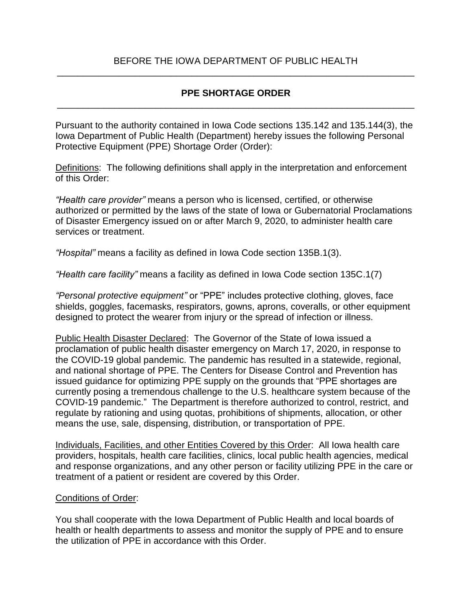#### BEFORE THE IOWA DEPARTMENT OF PUBLIC HEALTH \_\_\_\_\_\_\_\_\_\_\_\_\_\_\_\_\_\_\_\_\_\_\_\_\_\_\_\_\_\_\_\_\_\_\_\_\_\_\_\_\_\_\_\_\_\_\_\_\_\_\_\_\_\_\_\_\_\_\_\_\_\_\_\_\_\_\_\_\_

## **PPE SHORTAGE ORDER** \_\_\_\_\_\_\_\_\_\_\_\_\_\_\_\_\_\_\_\_\_\_\_\_\_\_\_\_\_\_\_\_\_\_\_\_\_\_\_\_\_\_\_\_\_\_\_\_\_\_\_\_\_\_\_\_\_\_\_\_\_\_\_\_\_\_\_\_\_

Pursuant to the authority contained in Iowa Code sections 135.142 and 135.144(3), the Iowa Department of Public Health (Department) hereby issues the following Personal Protective Equipment (PPE) Shortage Order (Order):

Definitions: The following definitions shall apply in the interpretation and enforcement of this Order:

*"Health care provider"* means a person who is licensed, certified, or otherwise authorized or permitted by the laws of the state of Iowa or Gubernatorial Proclamations of Disaster Emergency issued on or after March 9, 2020, to administer health care services or treatment.

*"Hospital"* means a facility as defined in Iowa Code section 135B.1(3).

*"Health care facility"* means a facility as defined in Iowa Code section 135C.1(7)

*"Personal protective equipment"* or "PPE" includes protective clothing, gloves, face shields, goggles, facemasks, respirators, gowns, aprons, coveralls, or other equipment designed to protect the wearer from injury or the spread of infection or illness.

Public Health Disaster Declared: The Governor of the State of Iowa issued a proclamation of public health disaster emergency on March 17, 2020, in response to the COVID-19 global pandemic. The pandemic has resulted in a statewide, regional, and national shortage of PPE. The Centers for Disease Control and Prevention has issued guidance for optimizing PPE supply on the grounds that "PPE shortages are currently posing a tremendous challenge to the U.S. healthcare system because of the COVID-19 pandemic." The Department is therefore authorized to control, restrict, and regulate by rationing and using quotas, prohibitions of shipments, allocation, or other means the use, sale, dispensing, distribution, or transportation of PPE.

Individuals, Facilities, and other Entities Covered by this Order: All Iowa health care providers, hospitals, health care facilities, clinics, local public health agencies, medical and response organizations, and any other person or facility utilizing PPE in the care or treatment of a patient or resident are covered by this Order.

#### Conditions of Order:

You shall cooperate with the Iowa Department of Public Health and local boards of health or health departments to assess and monitor the supply of PPE and to ensure the utilization of PPE in accordance with this Order.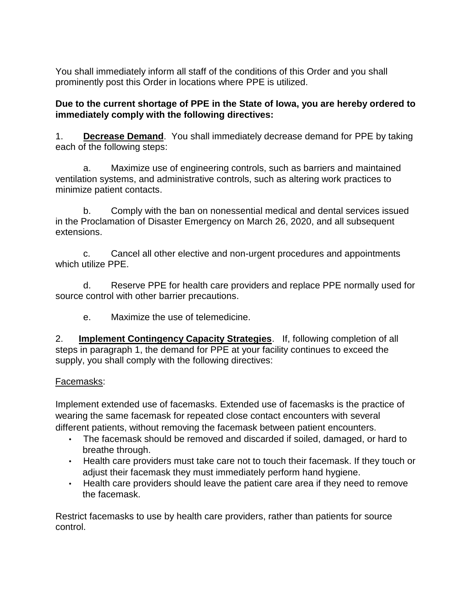You shall immediately inform all staff of the conditions of this Order and you shall prominently post this Order in locations where PPE is utilized.

# **Due to the current shortage of PPE in the State of Iowa, you are hereby ordered to immediately comply with the following directives:**

1. **Decrease Demand**. You shall immediately decrease demand for PPE by taking each of the following steps:

a. Maximize use of engineering controls, such as barriers and maintained ventilation systems, and administrative controls, such as altering work practices to minimize patient contacts.

b. Comply with the ban on nonessential medical and dental services issued in the Proclamation of Disaster Emergency on March 26, 2020, and all subsequent extensions.

c. Cancel all other elective and non-urgent procedures and appointments which utilize PPE.

d. Reserve PPE for health care providers and replace PPE normally used for source control with other barrier precautions.

e. Maximize the use of telemedicine.

2. **Implement Contingency Capacity Strategies**. If, following completion of all steps in paragraph 1, the demand for PPE at your facility continues to exceed the supply, you shall comply with the following directives:

# Facemasks:

Implement extended use of facemasks. Extended use of facemasks is the practice of wearing the same facemask for repeated close contact encounters with several different patients, without removing the facemask between patient encounters.

- The facemask should be removed and discarded if soiled, damaged, or hard to breathe through.
- Health care providers must take care not to touch their facemask. If they touch or adjust their facemask they must immediately perform hand hygiene.
- Health care providers should leave the patient care area if they need to remove the facemask.

Restrict facemasks to use by health care providers, rather than patients for source control.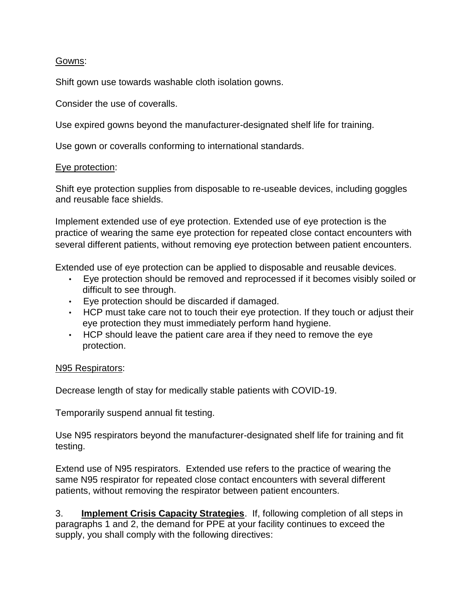## Gowns:

Shift gown use towards washable cloth isolation gowns.

Consider the use of coveralls.

Use expired gowns beyond the manufacturer-designated shelf life for training.

Use gown or coveralls conforming to international standards.

## Eye protection:

Shift eye protection supplies from disposable to re-useable devices, including goggles and reusable face shields.

Implement extended use of eye protection. Extended use of eye protection is the practice of wearing the same eye protection for repeated close contact encounters with several different patients, without removing eye protection between patient encounters.

Extended use of eye protection can be applied to disposable and reusable devices.

- Eye protection should be removed and reprocessed if it becomes visibly soiled or difficult to see through.
- Eye protection should be discarded if damaged.
- HCP must take care not to touch their eye protection. If they touch or adjust their eye protection they must immediately perform hand hygiene.
- HCP should leave the patient care area if they need to remove the eye protection.

## N<sub>95</sub> Respirators:

Decrease length of stay for medically stable patients with COVID-19.

Temporarily suspend annual fit testing.

Use N95 respirators beyond the manufacturer-designated shelf life for training and fit testing.

Extend use of N95 respirators. Extended use refers to the practice of wearing the same N95 respirator for repeated close contact encounters with several different patients, without removing the respirator between patient encounters.

3. **Implement Crisis Capacity Strategies**. If, following completion of all steps in paragraphs 1 and 2, the demand for PPE at your facility continues to exceed the supply, you shall comply with the following directives: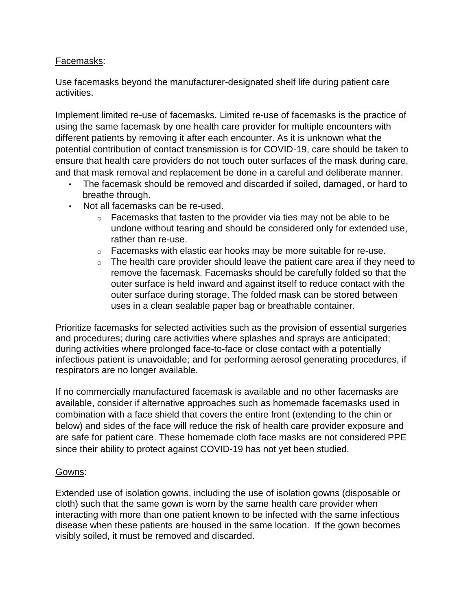## Facemasks:

Use facemasks beyond the manufacturer-designated shelf life during patient care activities.

Implement limited re-use of facemasks. Limited re-use of facemasks is the practice of using the same facemask by one health care provider for multiple encounters with different patients by removing it after each encounter. As it is unknown what the potential contribution of contact transmission is for COVID-19, care should be taken to ensure that health care providers do not touch outer surfaces of the mask during care, and that mask removal and replacement be done in a careful and deliberate manner.

- The facemask should be removed and discarded if soiled, damaged, or hard to breathe through.
- Not all facemasks can be re-used.
	- $\circ$  Facemasks that fasten to the provider via ties may not be able to be undone without tearing and should be considered only for extended use, rather than re-use.
	- $\circ$  Facemasks with elastic ear hooks may be more suitable for re-use.
	- $\circ$  The health care provider should leave the patient care area if they need to remove the facemask. Facemasks should be carefully folded so that the outer surface is held inward and against itself to reduce contact with the outer surface during storage. The folded mask can be stored between uses in a clean sealable paper bag or breathable container.

Prioritize facemasks for selected activities such as the provision of essential surgeries and procedures; during care activities where splashes and sprays are anticipated; during activities where prolonged face-to-face or close contact with a potentially infectious patient is unavoidable; and for performing aerosol generating procedures, if respirators are no longer available.

If no commercially manufactured facemask is available and no other facemasks are available, consider if alternative approaches such as homemade facemasks used in combination with a face shield that covers the entire front (extending to the chin or below) and sides of the face will reduce the risk of health care provider exposure and are safe for patient care. These homemade cloth face masks are not considered PPE since their ability to protect against COVID-19 has not yet been studied.

## Gowns:

Extended use of isolation gowns, including the use of isolation gowns (disposable or cloth) such that the same gown is worn by the same health care provider when interacting with more than one patient known to be infected with the same infectious disease when these patients are housed in the same location. If the gown becomes visibly soiled, it must be removed and discarded.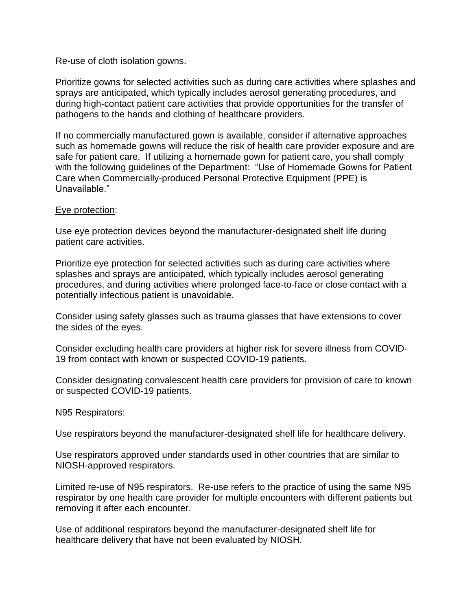#### Re-use of cloth isolation gowns.

Prioritize gowns for selected activities such as during care activities where splashes and sprays are anticipated, which typically includes aerosol generating procedures, and during high-contact patient care activities that provide opportunities for the transfer of pathogens to the hands and clothing of healthcare providers.

If no commercially manufactured gown is available, consider if alternative approaches such as homemade gowns will reduce the risk of health care provider exposure and are safe for patient care. If utilizing a homemade gown for patient care, you shall comply with the following guidelines of the Department: "Use of Homemade Gowns for Patient Care when Commercially-produced Personal Protective Equipment (PPE) is Unavailable."

#### Eye protection:

Use eye protection devices beyond the manufacturer-designated shelf life during patient care activities.

Prioritize eye protection for selected activities such as during care activities where splashes and sprays are anticipated, which typically includes aerosol generating procedures, and during activities where prolonged face-to-face or close contact with a potentially infectious patient is unavoidable.

Consider using safety glasses such as trauma glasses that have extensions to cover the sides of the eyes.

Consider excluding health care providers at higher risk for severe illness from COVID-19 from contact with known or suspected COVID-19 patients.

Consider designating convalescent health care providers for provision of care to known or suspected COVID-19 patients.

#### N95 Respirators:

Use respirators beyond the manufacturer-designated shelf life for healthcare delivery.

Use respirators approved under standards used in other countries that are similar to NIOSH-approved respirators.

Limited re-use of N95 respirators. Re-use refers to the practice of using the same N95 respirator by one health care provider for multiple encounters with different patients but removing it after each encounter.

Use of additional respirators beyond the manufacturer-designated shelf life for healthcare delivery that have not been evaluated by NIOSH.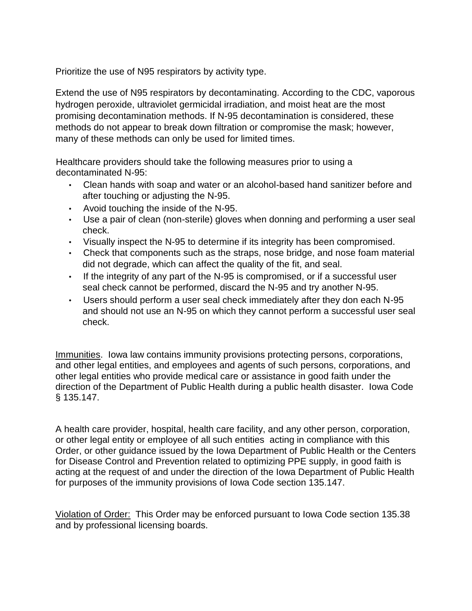Prioritize the use of N95 respirators by activity type.

Extend the use of N95 respirators by decontaminating. According to the CDC, vaporous hydrogen peroxide, ultraviolet germicidal irradiation, and moist heat are the most promising decontamination methods. If N-95 decontamination is considered, these methods do not appear to break down filtration or compromise the mask; however, many of these methods can only be used for limited times.

Healthcare providers should take the following measures prior to using a decontaminated N-95:

- Clean hands with soap and water or an alcohol-based hand sanitizer before and after touching or adjusting the N-95.
- Avoid touching the inside of the N-95.
- Use a pair of clean (non-sterile) gloves when donning and performing a user seal check.
- Visually inspect the N-95 to determine if its integrity has been compromised.
- Check that components such as the straps, nose bridge, and nose foam material did not degrade, which can affect the quality of the fit, and seal.
- If the integrity of any part of the N-95 is compromised, or if a successful user seal check cannot be performed, discard the N-95 and try another N-95.
- Users should perform a user seal check immediately after they don each N-95 and should not use an N-95 on which they cannot perform a successful user seal check.

Immunities. Iowa law contains immunity provisions protecting persons, corporations, and other legal entities, and employees and agents of such persons, corporations, and other legal entities who provide medical care or assistance in good faith under the direction of the Department of Public Health during a public health disaster. Iowa Code § 135.147.

A health care provider, hospital, health care facility, and any other person, corporation, or other legal entity or employee of all such entities acting in compliance with this Order, or other guidance issued by the Iowa Department of Public Health or the Centers for Disease Control and Prevention related to optimizing PPE supply, in good faith is acting at the request of and under the direction of the Iowa Department of Public Health for purposes of the immunity provisions of Iowa Code section 135.147.

Violation of Order: This Order may be enforced pursuant to Iowa Code section 135.38 and by professional licensing boards.